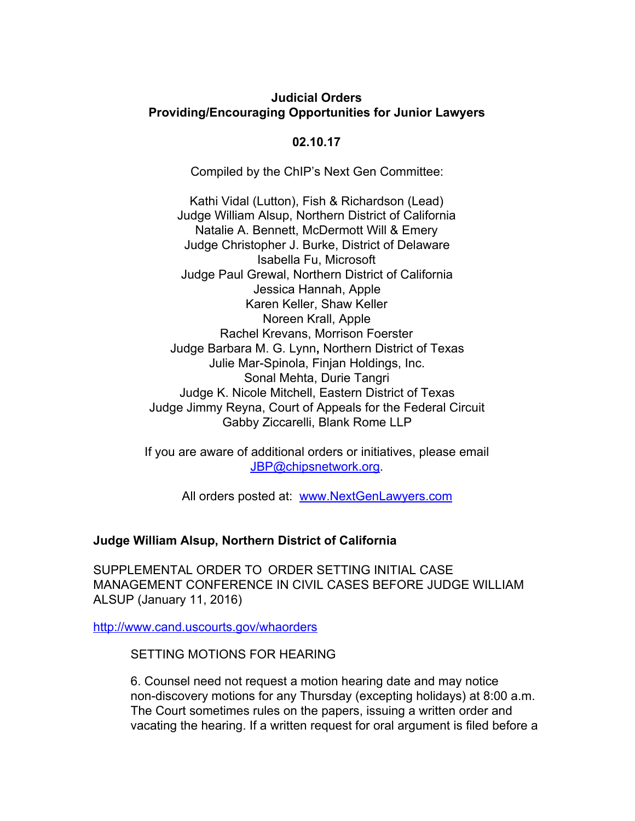# **Judicial Orders Providing/Encouraging Opportunities for Junior Lawyers**

### **02.10.17**

Compiled by the ChIP's Next Gen Committee:

Kathi Vidal (Lutton), Fish & Richardson (Lead) Judge William Alsup, Northern District of California Natalie A. Bennett, McDermott Will & Emery Judge Christopher J. Burke, District of Delaware Isabella Fu, Microsoft Judge Paul Grewal, Northern District of California Jessica Hannah, Apple Karen Keller, Shaw Keller Noreen Krall, Apple Rachel Krevans, Morrison Foerster Judge Barbara M. G. Lynn**,** Northern District of Texas Julie Mar-Spinola, Finjan Holdings, Inc. Sonal Mehta, Durie Tangri Judge K. Nicole Mitchell, Eastern District of Texas Judge Jimmy Reyna, Court of Appeals for the Federal Circuit Gabby Ziccarelli, Blank Rome LLP

If you are aware of additional orders or initiatives, please email [JBP@chipsnetwork.org.](mailto:JBP@chipsnetwork.org)

All orders posted at: [www.NextGenLawyers.com](http://www.nextgenlawyers.com/)

## **Judge William Alsup, Northern District of California**

SUPPLEMENTAL ORDER TO ORDER SETTING INITIAL CASE MANAGEMENT CONFERENCE IN CIVIL CASES BEFORE JUDGE WILLIAM ALSUP (January 11, 2016)

<http://www.cand.uscourts.gov/whaorders>

SETTING MOTIONS FOR HEARING

6. Counsel need not request a motion hearing date and may notice non-discovery motions for any Thursday (excepting holidays) at 8:00 a.m. The Court sometimes rules on the papers, issuing a written order and vacating the hearing. If a written request for oral argument is filed before a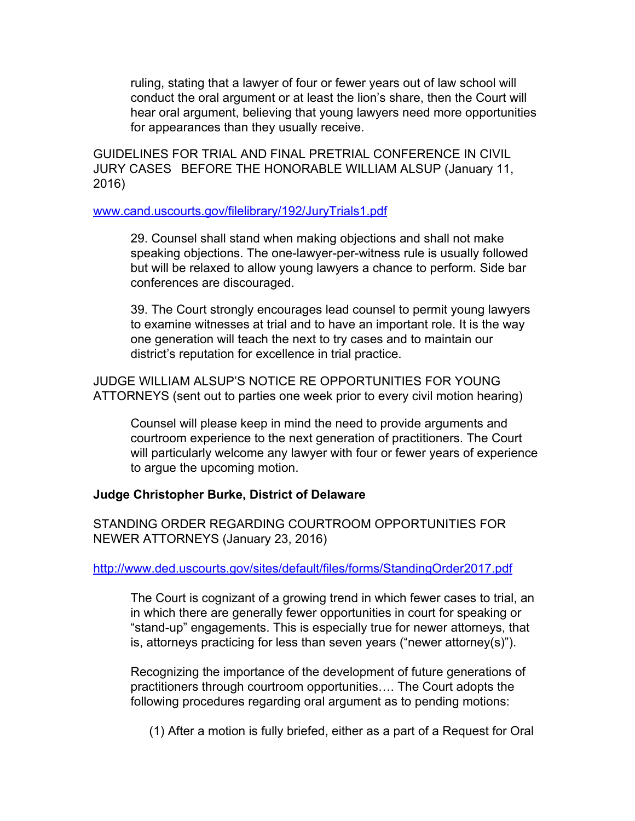ruling, stating that a lawyer of four or fewer years out of law school will conduct the oral argument or at least the lion's share, then the Court will hear oral argument, believing that young lawyers need more opportunities for appearances than they usually receive.

GUIDELINES FOR TRIAL AND FINAL PRETRIAL CONFERENCE IN CIVIL JURY CASES BEFORE THE HONORABLE WILLIAM ALSUP (January 11, 2016)

#### [www.cand.uscourts.gov/filelibrary/192/JuryTrials1.pdf](http://www.cand.uscourts.gov/filelibrary/192/JuryTrials1.pdf)

29. Counsel shall stand when making objections and shall not make speaking objections. The one-lawyer-per-witness rule is usually followed but will be relaxed to allow young lawyers a chance to perform. Side bar conferences are discouraged.

39. The Court strongly encourages lead counsel to permit young lawyers to examine witnesses at trial and to have an important role. It is the way one generation will teach the next to try cases and to maintain our district's reputation for excellence in trial practice.

JUDGE WILLIAM ALSUP'S NOTICE RE OPPORTUNITIES FOR YOUNG ATTORNEYS (sent out to parties one week prior to every civil motion hearing)

Counsel will please keep in mind the need to provide arguments and courtroom experience to the next generation of practitioners. The Court will particularly welcome any lawyer with four or fewer years of experience to argue the upcoming motion.

#### **Judge Christopher Burke, District of Delaware**

STANDING ORDER REGARDING COURTROOM OPPORTUNITIES FOR NEWER ATTORNEYS (January 23, 2016)

#### <http://www.ded.uscourts.gov/sites/default/files/forms/StandingOrder2017.pdf>

The Court is cognizant of a growing trend in which fewer cases to trial, an in which there are generally fewer opportunities in court for speaking or "stand-up" engagements. This is especially true for newer attorneys, that is, attorneys practicing for less than seven years ("newer attorney(s)").

Recognizing the importance of the development of future generations of practitioners through courtroom opportunities…. The Court adopts the following procedures regarding oral argument as to pending motions:

(1) After a motion is fully briefed, either as a part of a Request for Oral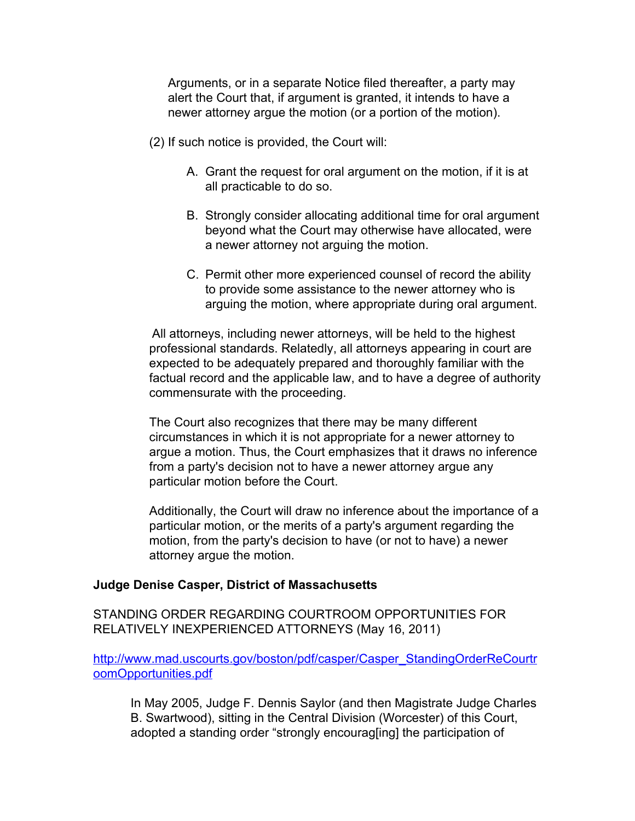Arguments, or in a separate Notice filed thereafter, a party may alert the Court that, if argument is granted, it intends to have a newer attorney argue the motion (or a portion of the motion).

- (2) If such notice is provided, the Court will:
	- A. Grant the request for oral argument on the motion, if it is at all practicable to do so.
	- B. Strongly consider allocating additional time for oral argument beyond what the Court may otherwise have allocated, were a newer attorney not arguing the motion.
	- C. Permit other more experienced counsel of record the ability to provide some assistance to the newer attorney who is arguing the motion, where appropriate during oral argument.

All attorneys, including newer attorneys, will be held to the highest professional standards. Relatedly, all attorneys appearing in court are expected to be adequately prepared and thoroughly familiar with the factual record and the applicable law, and to have a degree of authority commensurate with the proceeding.

The Court also recognizes that there may be many different circumstances in which it is not appropriate for a newer attorney to argue a motion. Thus, the Court emphasizes that it draws no inference from a party's decision not to have a newer attorney argue any particular motion before the Court.

Additionally, the Court will draw no inference about the importance of a particular motion, or the merits of a party's argument regarding the motion, from the party's decision to have (or not to have) a newer attorney argue the motion.

## **Judge Denise Casper, District of Massachusetts**

STANDING ORDER REGARDING COURTROOM OPPORTUNITIES FOR RELATIVELY INEXPERIENCED ATTORNEYS (May 16, 2011)

[http://www.mad.uscourts.gov/boston/pdf/casper/Casper\\_StandingOrderReCourtr](http://www.mad.uscourts.gov/boston/pdf/casper/Casper_StandingOrderReCourtroomOpportunities.pdf) [oomOpportunities.pdf](http://www.mad.uscourts.gov/boston/pdf/casper/Casper_StandingOrderReCourtroomOpportunities.pdf)

In May 2005, Judge F. Dennis Saylor (and then Magistrate Judge Charles B. Swartwood), sitting in the Central Division (Worcester) of this Court, adopted a standing order "strongly encourag[ing] the participation of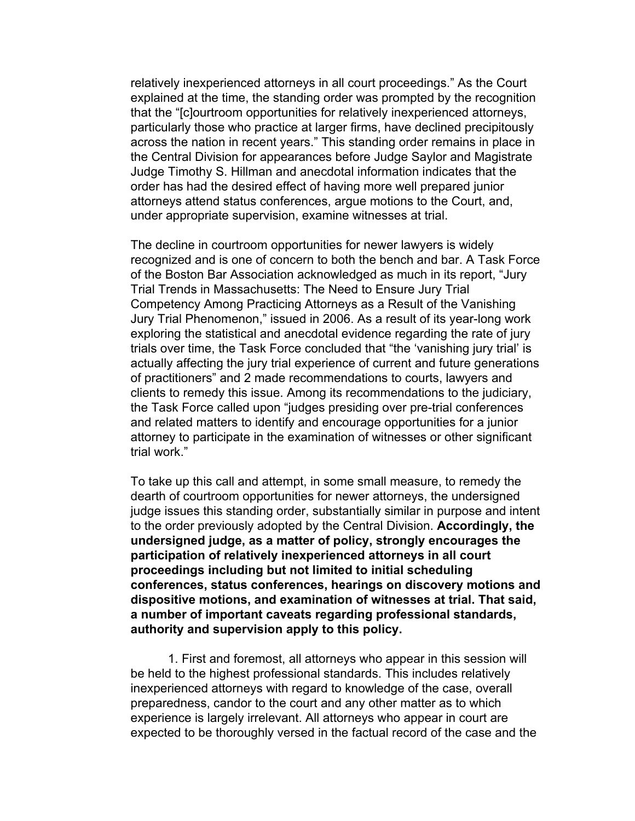relatively inexperienced attorneys in all court proceedings." As the Court explained at the time, the standing order was prompted by the recognition that the "[c]ourtroom opportunities for relatively inexperienced attorneys, particularly those who practice at larger firms, have declined precipitously across the nation in recent years." This standing order remains in place in the Central Division for appearances before Judge Saylor and Magistrate Judge Timothy S. Hillman and anecdotal information indicates that the order has had the desired effect of having more well prepared junior attorneys attend status conferences, argue motions to the Court, and, under appropriate supervision, examine witnesses at trial.

The decline in courtroom opportunities for newer lawyers is widely recognized and is one of concern to both the bench and bar. A Task Force of the Boston Bar Association acknowledged as much in its report, "Jury Trial Trends in Massachusetts: The Need to Ensure Jury Trial Competency Among Practicing Attorneys as a Result of the Vanishing Jury Trial Phenomenon," issued in 2006. As a result of its year-long work exploring the statistical and anecdotal evidence regarding the rate of jury trials over time, the Task Force concluded that "the 'vanishing jury trial' is actually affecting the jury trial experience of current and future generations of practitioners" and 2 made recommendations to courts, lawyers and clients to remedy this issue. Among its recommendations to the judiciary, the Task Force called upon "judges presiding over pre-trial conferences and related matters to identify and encourage opportunities for a junior attorney to participate in the examination of witnesses or other significant trial work."

To take up this call and attempt, in some small measure, to remedy the dearth of courtroom opportunities for newer attorneys, the undersigned judge issues this standing order, substantially similar in purpose and intent to the order previously adopted by the Central Division. **Accordingly, the undersigned judge, as a matter of policy, strongly encourages the participation of relatively inexperienced attorneys in all court proceedings including but not limited to initial scheduling conferences, status conferences, hearings on discovery motions and dispositive motions, and examination of witnesses at trial. That said, a number of important caveats regarding professional standards, authority and supervision apply to this policy.**

1. First and foremost, all attorneys who appear in this session will be held to the highest professional standards. This includes relatively inexperienced attorneys with regard to knowledge of the case, overall preparedness, candor to the court and any other matter as to which experience is largely irrelevant. All attorneys who appear in court are expected to be thoroughly versed in the factual record of the case and the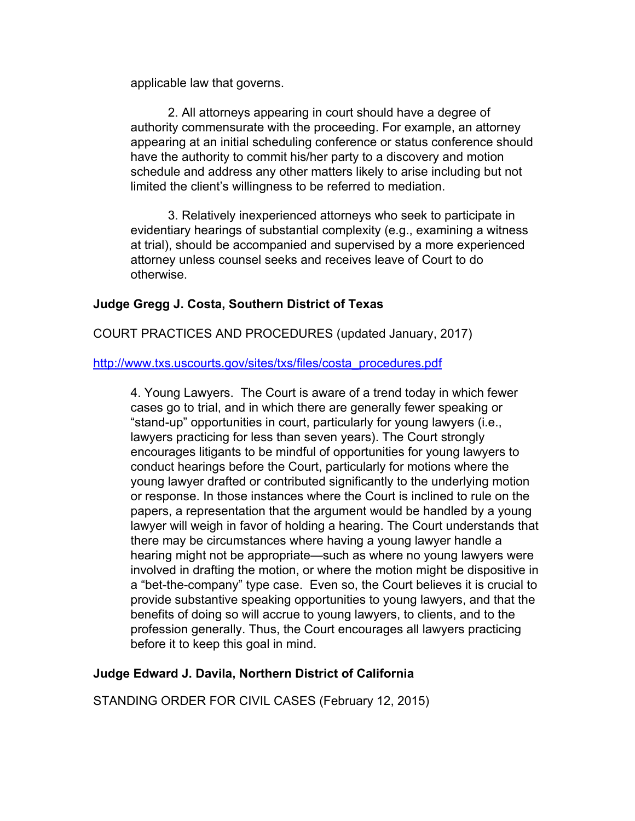applicable law that governs.

2. All attorneys appearing in court should have a degree of authority commensurate with the proceeding. For example, an attorney appearing at an initial scheduling conference or status conference should have the authority to commit his/her party to a discovery and motion schedule and address any other matters likely to arise including but not limited the client's willingness to be referred to mediation.

3. Relatively inexperienced attorneys who seek to participate in evidentiary hearings of substantial complexity (e.g., examining a witness at trial), should be accompanied and supervised by a more experienced attorney unless counsel seeks and receives leave of Court to do otherwise.

# **Judge Gregg J. Costa, Southern District of Texas**

COURT PRACTICES AND PROCEDURES (updated January, 2017)

[http://www.txs.uscourts.gov/sites/txs/files/costa\\_procedures.pdf](http://www.txs.uscourts.gov/sites/txs/files/costa_procedures.pdf)

4. Young Lawyers. The Court is aware of a trend today in which fewer cases go to trial, and in which there are generally fewer speaking or "stand-up" opportunities in court, particularly for young lawyers (i.e., lawyers practicing for less than seven years). The Court strongly encourages litigants to be mindful of opportunities for young lawyers to conduct hearings before the Court, particularly for motions where the young lawyer drafted or contributed significantly to the underlying motion or response. In those instances where the Court is inclined to rule on the papers, a representation that the argument would be handled by a young lawyer will weigh in favor of holding a hearing. The Court understands that there may be circumstances where having a young lawyer handle a hearing might not be appropriate—such as where no young lawyers were involved in drafting the motion, or where the motion might be dispositive in a "bet-the-company" type case. Even so, the Court believes it is crucial to provide substantive speaking opportunities to young lawyers, and that the benefits of doing so will accrue to young lawyers, to clients, and to the profession generally. Thus, the Court encourages all lawyers practicing before it to keep this goal in mind.

## **Judge Edward J. Davila, Northern District of California**

STANDING ORDER FOR CIVIL CASES (February 12, 2015)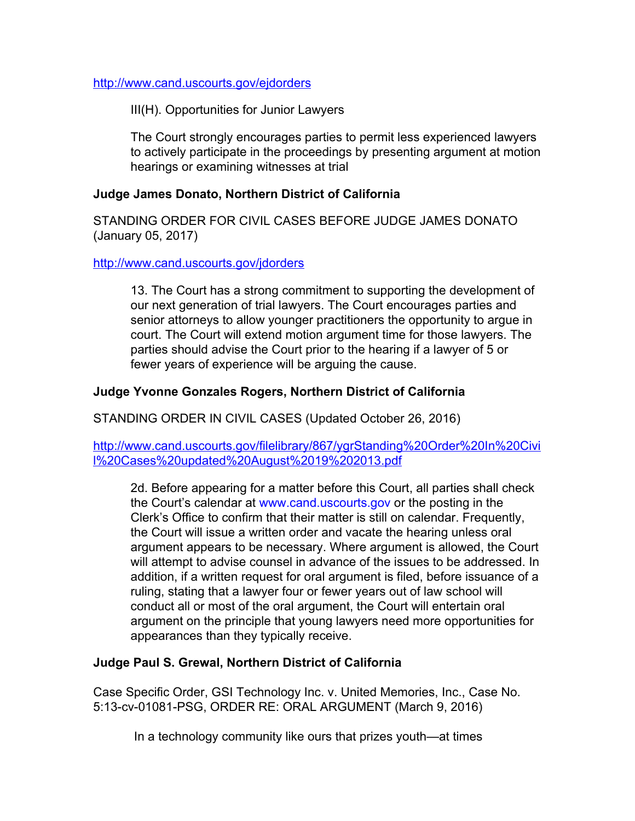<http://www.cand.uscourts.gov/ejdorders>

III(H). Opportunities for Junior Lawyers

The Court strongly encourages parties to permit less experienced lawyers to actively participate in the proceedings by presenting argument at motion hearings or examining witnesses at trial

### **Judge James Donato, Northern District of California**

STANDING ORDER FOR CIVIL CASES BEFORE JUDGE JAMES DONATO (January 05, 2017)

#### <http://www.cand.uscourts.gov/jdorders>

13. The Court has a strong commitment to supporting the development of our next generation of trial lawyers. The Court encourages parties and senior attorneys to allow younger practitioners the opportunity to argue in court. The Court will extend motion argument time for those lawyers. The parties should advise the Court prior to the hearing if a lawyer of 5 or fewer years of experience will be arguing the cause.

### **Judge Yvonne Gonzales Rogers, Northern District of California**

STANDING ORDER IN CIVIL CASES (Updated October 26, 2016)

[http://www.cand.uscourts.gov/filelibrary/867/ygrStanding%20Order%20In%20Civi](http://www.cand.uscourts.gov/filelibrary/867/ygrStanding%20Order%20In%20Civil%20Cases%20updated%20August%2019%202013.pdf) [l%20Cases%20updated%20August%2019%202013.pdf](http://www.cand.uscourts.gov/filelibrary/867/ygrStanding%20Order%20In%20Civil%20Cases%20updated%20August%2019%202013.pdf)

2d. Before appearing for a matter before this Court, all parties shall check the Court's calendar at www.cand.uscourts.gov or the posting in the Clerk's Office to confirm that their matter is still on calendar. Frequently, the Court will issue a written order and vacate the hearing unless oral argument appears to be necessary. Where argument is allowed, the Court will attempt to advise counsel in advance of the issues to be addressed. In addition, if a written request for oral argument is filed, before issuance of a ruling, stating that a lawyer four or fewer years out of law school will conduct all or most of the oral argument, the Court will entertain oral argument on the principle that young lawyers need more opportunities for appearances than they typically receive.

#### **Judge Paul S. Grewal, Northern District of California**

Case Specific Order, GSI Technology Inc. v. United Memories, Inc., Case No. 5:13-cv-01081-PSG, ORDER RE: ORAL ARGUMENT (March 9, 2016)

In a technology community like ours that prizes youth—at times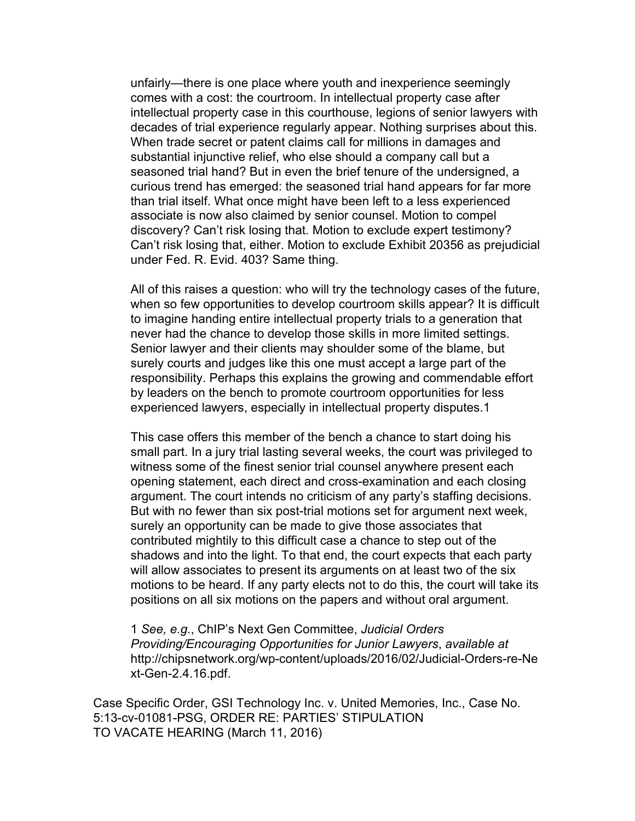unfairly—there is one place where youth and inexperience seemingly comes with a cost: the courtroom. In intellectual property case after intellectual property case in this courthouse, legions of senior lawyers with decades of trial experience regularly appear. Nothing surprises about this. When trade secret or patent claims call for millions in damages and substantial injunctive relief, who else should a company call but a seasoned trial hand? But in even the brief tenure of the undersigned, a curious trend has emerged: the seasoned trial hand appears for far more than trial itself. What once might have been left to a less experienced associate is now also claimed by senior counsel. Motion to compel discovery? Can't risk losing that. Motion to exclude expert testimony? Can't risk losing that, either. Motion to exclude Exhibit 20356 as prejudicial under Fed. R. Evid. 403? Same thing.

All of this raises a question: who will try the technology cases of the future, when so few opportunities to develop courtroom skills appear? It is difficult to imagine handing entire intellectual property trials to a generation that never had the chance to develop those skills in more limited settings. Senior lawyer and their clients may shoulder some of the blame, but surely courts and judges like this one must accept a large part of the responsibility. Perhaps this explains the growing and commendable effort by leaders on the bench to promote courtroom opportunities for less experienced lawyers, especially in intellectual property disputes.1

This case offers this member of the bench a chance to start doing his small part. In a jury trial lasting several weeks, the court was privileged to witness some of the finest senior trial counsel anywhere present each opening statement, each direct and cross-examination and each closing argument. The court intends no criticism of any party's staffing decisions. But with no fewer than six post-trial motions set for argument next week, surely an opportunity can be made to give those associates that contributed mightily to this difficult case a chance to step out of the shadows and into the light. To that end, the court expects that each party will allow associates to present its arguments on at least two of the six motions to be heard. If any party elects not to do this, the court will take its positions on all six motions on the papers and without oral argument.

1 *See, e.g.*, ChIP's Next Gen Committee, *Judicial Orders Providing/Encouraging Opportunities for Junior Lawyers*, *available at* http://chipsnetwork.org/wp-content/uploads/2016/02/Judicial-Orders-re-Ne xt-Gen-2.4.16.pdf.

Case Specific Order, GSI Technology Inc. v. United Memories, Inc., Case No. 5:13-cv-01081-PSG, ORDER RE: PARTIES' STIPULATION TO VACATE HEARING (March 11, 2016)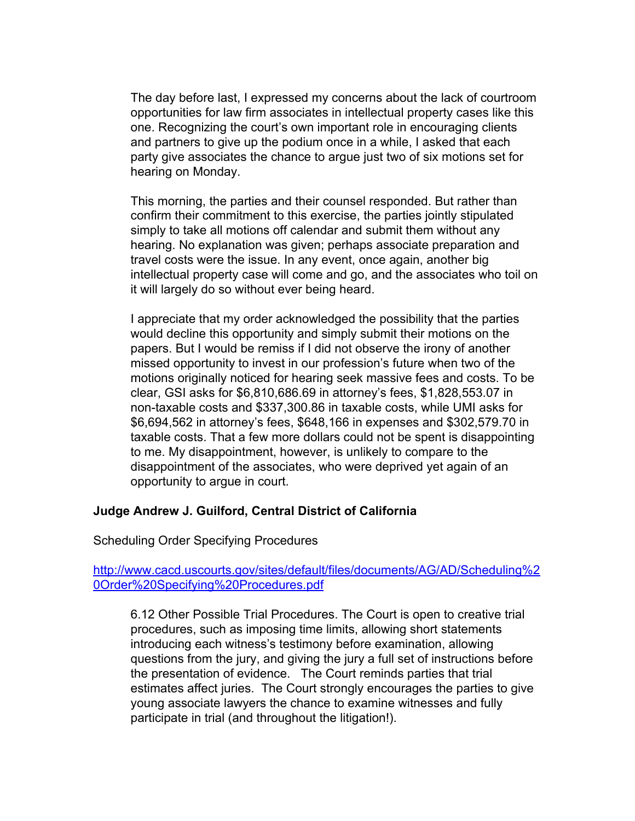The day before last, I expressed my concerns about the lack of courtroom opportunities for law firm associates in intellectual property cases like this one. Recognizing the court's own important role in encouraging clients and partners to give up the podium once in a while, I asked that each party give associates the chance to argue just two of six motions set for hearing on Monday.

This morning, the parties and their counsel responded. But rather than confirm their commitment to this exercise, the parties jointly stipulated simply to take all motions off calendar and submit them without any hearing. No explanation was given; perhaps associate preparation and travel costs were the issue. In any event, once again, another big intellectual property case will come and go, and the associates who toil on it will largely do so without ever being heard.

I appreciate that my order acknowledged the possibility that the parties would decline this opportunity and simply submit their motions on the papers. But I would be remiss if I did not observe the irony of another missed opportunity to invest in our profession's future when two of the motions originally noticed for hearing seek massive fees and costs. To be clear, GSI asks for \$6,810,686.69 in attorney's fees, \$1,828,553.07 in non-taxable costs and \$337,300.86 in taxable costs, while UMI asks for \$6,694,562 in attorney's fees, \$648,166 in expenses and \$302,579.70 in taxable costs. That a few more dollars could not be spent is disappointing to me. My disappointment, however, is unlikely to compare to the disappointment of the associates, who were deprived yet again of an opportunity to argue in court.

#### **Judge Andrew J. Guilford, Central District of California**

Scheduling Order Specifying Procedures

### [http://www.cacd.uscourts.gov/sites/default/files/documents/AG/AD/Scheduling%2](http://www.cacd.uscourts.gov/sites/default/files/documents/AG/AD/Scheduling%20Order%20Specifying%20Procedures.pdf) [0Order%20Specifying%20Procedures.pdf](http://www.cacd.uscourts.gov/sites/default/files/documents/AG/AD/Scheduling%20Order%20Specifying%20Procedures.pdf)

6.12 Other Possible Trial Procedures. The Court is open to creative trial procedures, such as imposing time limits, allowing short statements introducing each witness's testimony before examination, allowing questions from the jury, and giving the jury a full set of instructions before the presentation of evidence. The Court reminds parties that trial estimates affect juries. The Court strongly encourages the parties to give young associate lawyers the chance to examine witnesses and fully participate in trial (and throughout the litigation!).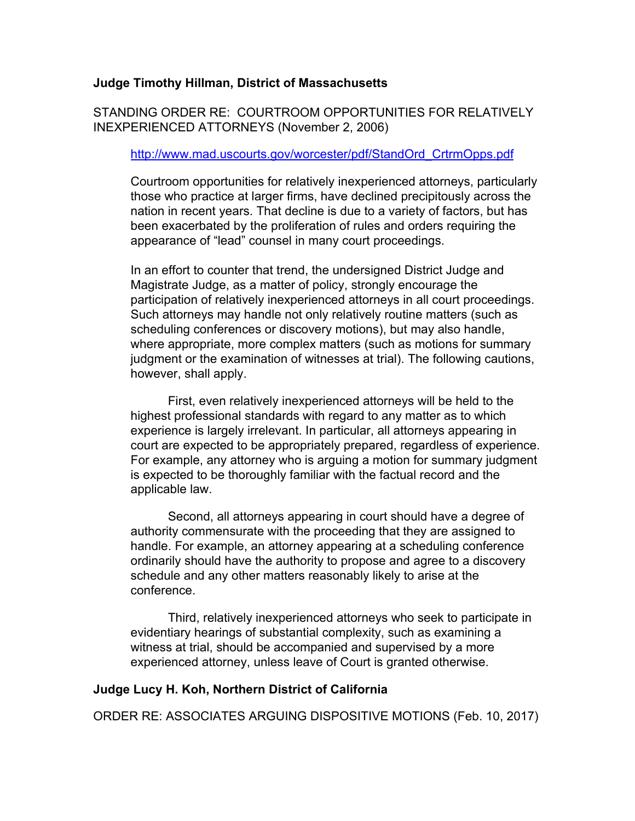### **Judge Timothy Hillman, District of Massachusetts**

STANDING ORDER RE: COURTROOM OPPORTUNITIES FOR RELATIVELY INEXPERIENCED ATTORNEYS (November 2, 2006)

#### [http://www.mad.uscourts.gov/worcester/pdf/StandOrd\\_CrtrmOpps.pdf](http://www.mad.uscourts.gov/worcester/pdf/StandOrd_CrtrmOpps.pdf)

Courtroom opportunities for relatively inexperienced attorneys, particularly those who practice at larger firms, have declined precipitously across the nation in recent years. That decline is due to a variety of factors, but has been exacerbated by the proliferation of rules and orders requiring the appearance of "lead" counsel in many court proceedings.

In an effort to counter that trend, the undersigned District Judge and Magistrate Judge, as a matter of policy, strongly encourage the participation of relatively inexperienced attorneys in all court proceedings. Such attorneys may handle not only relatively routine matters (such as scheduling conferences or discovery motions), but may also handle, where appropriate, more complex matters (such as motions for summary judgment or the examination of witnesses at trial). The following cautions, however, shall apply.

First, even relatively inexperienced attorneys will be held to the highest professional standards with regard to any matter as to which experience is largely irrelevant. In particular, all attorneys appearing in court are expected to be appropriately prepared, regardless of experience. For example, any attorney who is arguing a motion for summary judgment is expected to be thoroughly familiar with the factual record and the applicable law.

Second, all attorneys appearing in court should have a degree of authority commensurate with the proceeding that they are assigned to handle. For example, an attorney appearing at a scheduling conference ordinarily should have the authority to propose and agree to a discovery schedule and any other matters reasonably likely to arise at the conference.

Third, relatively inexperienced attorneys who seek to participate in evidentiary hearings of substantial complexity, such as examining a witness at trial, should be accompanied and supervised by a more experienced attorney, unless leave of Court is granted otherwise.

#### **Judge Lucy H. Koh, Northern District of California**

ORDER RE: ASSOCIATES ARGUING DISPOSITIVE MOTIONS (Feb. 10, 2017)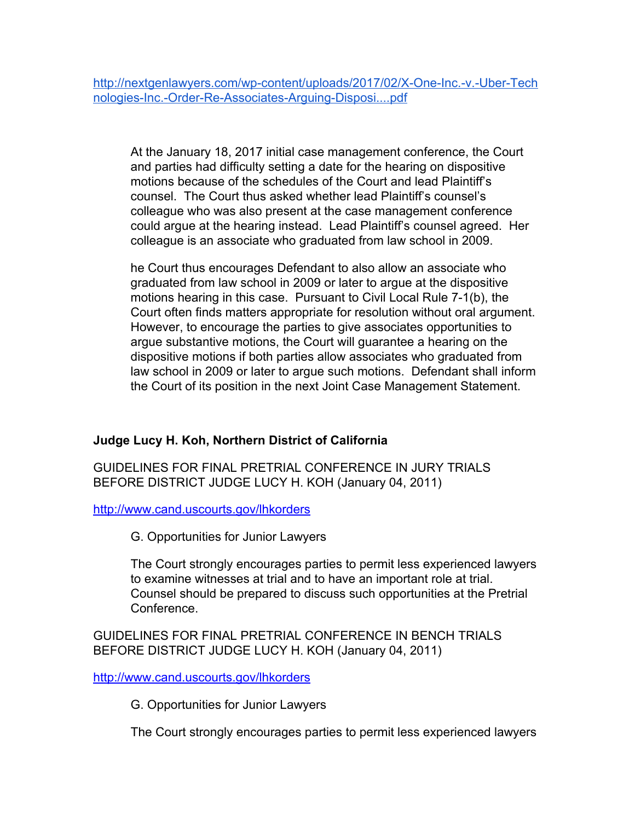[http://nextgenlawyers.com/wp-content/uploads/2017/02/X-One-Inc.-v.-Uber-Tech](http://nextgenlawyers.com/wp-content/uploads/2017/02/X-One-Inc.-v.-Uber-Technologies-Inc.-Order-Re-Associates-Arguing-Disposi....pdf) [nologies-Inc.-Order-Re-Associates-Arguing-Disposi....pdf](http://nextgenlawyers.com/wp-content/uploads/2017/02/X-One-Inc.-v.-Uber-Technologies-Inc.-Order-Re-Associates-Arguing-Disposi....pdf)

At the January 18, 2017 initial case management conference, the Court and parties had difficulty setting a date for the hearing on dispositive motions because of the schedules of the Court and lead Plaintiff's counsel. The Court thus asked whether lead Plaintiff's counsel's colleague who was also present at the case management conference could argue at the hearing instead. Lead Plaintiff's counsel agreed. Her colleague is an associate who graduated from law school in 2009.

he Court thus encourages Defendant to also allow an associate who graduated from law school in 2009 or later to argue at the dispositive motions hearing in this case. Pursuant to Civil Local Rule 7-1(b), the Court often finds matters appropriate for resolution without oral argument. However, to encourage the parties to give associates opportunities to argue substantive motions, the Court will guarantee a hearing on the dispositive motions if both parties allow associates who graduated from law school in 2009 or later to argue such motions. Defendant shall inform the Court of its position in the next Joint Case Management Statement.

# **Judge Lucy H. Koh, Northern District of California**

GUIDELINES FOR FINAL PRETRIAL CONFERENCE IN JURY TRIALS BEFORE DISTRICT JUDGE LUCY H. KOH (January 04, 2011)

<http://www.cand.uscourts.gov/lhkorders>

G. Opportunities for Junior Lawyers

The Court strongly encourages parties to permit less experienced lawyers to examine witnesses at trial and to have an important role at trial. Counsel should be prepared to discuss such opportunities at the Pretrial Conference.

GUIDELINES FOR FINAL PRETRIAL CONFERENCE IN BENCH TRIALS BEFORE DISTRICT JUDGE LUCY H. KOH (January 04, 2011)

<http://www.cand.uscourts.gov/lhkorders>

G. Opportunities for Junior Lawyers

The Court strongly encourages parties to permit less experienced lawyers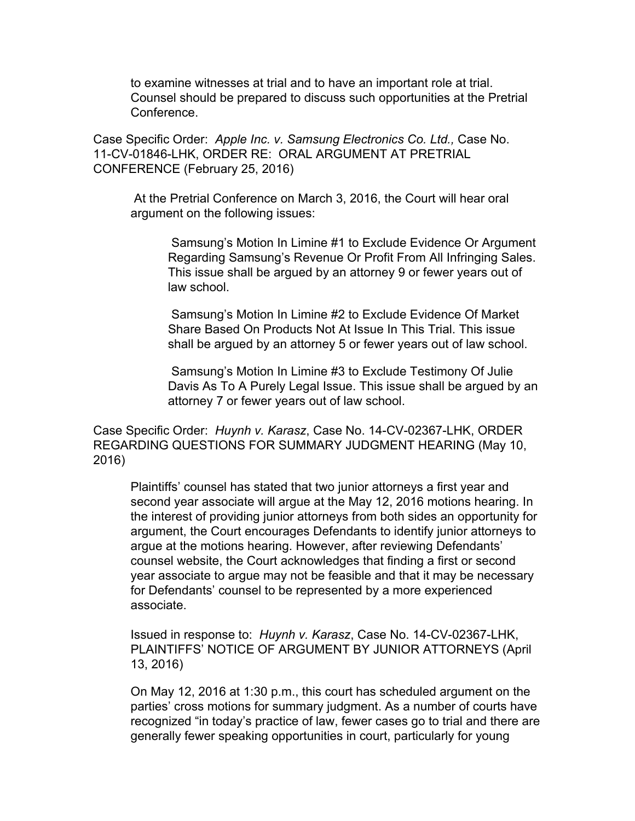to examine witnesses at trial and to have an important role at trial. Counsel should be prepared to discuss such opportunities at the Pretrial Conference.

Case Specific Order: *Apple Inc. v. Samsung Electronics Co. Ltd.,* Case No. 11-CV-01846-LHK, ORDER RE: ORAL ARGUMENT AT PRETRIAL CONFERENCE (February 25, 2016)

 At the Pretrial Conference on March 3, 2016, the Court will hear oral argument on the following issues:

 Samsung's Motion In Limine #1 to Exclude Evidence Or Argument Regarding Samsung's Revenue Or Profit From All Infringing Sales. This issue shall be argued by an attorney 9 or fewer years out of law school.

 Samsung's Motion In Limine #2 to Exclude Evidence Of Market Share Based On Products Not At Issue In This Trial. This issue shall be argued by an attorney 5 or fewer years out of law school.

 Samsung's Motion In Limine #3 to Exclude Testimony Of Julie Davis As To A Purely Legal Issue. This issue shall be argued by an attorney 7 or fewer years out of law school.

Case Specific Order: *Huynh v. Karasz*, Case No. 14-CV-02367-LHK, ORDER REGARDING QUESTIONS FOR SUMMARY JUDGMENT HEARING (May 10, 2016)

Plaintiffs' counsel has stated that two junior attorneys a first year and second year associate will argue at the May 12, 2016 motions hearing. In the interest of providing junior attorneys from both sides an opportunity for argument, the Court encourages Defendants to identify junior attorneys to argue at the motions hearing. However, after reviewing Defendants' counsel website, the Court acknowledges that finding a first or second year associate to argue may not be feasible and that it may be necessary for Defendants' counsel to be represented by a more experienced associate.

Issued in response to: *Huynh v. Karasz*, Case No. 14-CV-02367-LHK, PLAINTIFFS' NOTICE OF ARGUMENT BY JUNIOR ATTORNEYS (April 13, 2016)

On May 12, 2016 at 1:30 p.m., this court has scheduled argument on the parties' cross motions for summary judgment. As a number of courts have recognized "in today's practice of law, fewer cases go to trial and there are generally fewer speaking opportunities in court, particularly for young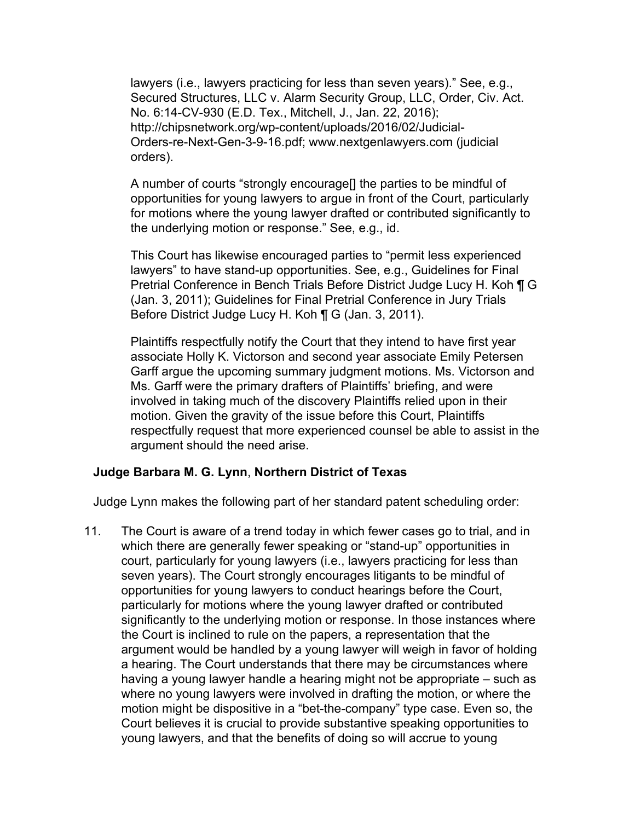lawyers (i.e., lawyers practicing for less than seven years)." See, e.g., Secured Structures, LLC v. Alarm Security Group, LLC, Order, Civ. Act. No. 6:14-CV-930 (E.D. Tex., Mitchell, J., Jan. 22, 2016); http://chipsnetwork.org/wp-content/uploads/2016/02/Judicial-Orders-re-Next-Gen-3-9-16.pdf; www.nextgenlawyers.com (judicial orders).

A number of courts "strongly encourage[] the parties to be mindful of opportunities for young lawyers to argue in front of the Court, particularly for motions where the young lawyer drafted or contributed significantly to the underlying motion or response." See, e.g., id.

This Court has likewise encouraged parties to "permit less experienced lawyers" to have stand-up opportunities. See, e.g., Guidelines for Final Pretrial Conference in Bench Trials Before District Judge Lucy H. Koh ¶ G (Jan. 3, 2011); Guidelines for Final Pretrial Conference in Jury Trials Before District Judge Lucy H. Koh ¶ G (Jan. 3, 2011).

Plaintiffs respectfully notify the Court that they intend to have first year associate Holly K. Victorson and second year associate Emily Petersen Garff argue the upcoming summary judgment motions. Ms. Victorson and Ms. Garff were the primary drafters of Plaintiffs' briefing, and were involved in taking much of the discovery Plaintiffs relied upon in their motion. Given the gravity of the issue before this Court, Plaintiffs respectfully request that more experienced counsel be able to assist in the argument should the need arise.

## **Judge Barbara M. G. Lynn**, **Northern District of Texas**

Judge Lynn makes the following part of her standard patent scheduling order:

11. The Court is aware of a trend today in which fewer cases go to trial, and in which there are generally fewer speaking or "stand-up" opportunities in court, particularly for young lawyers (i.e., lawyers practicing for less than seven years). The Court strongly encourages litigants to be mindful of opportunities for young lawyers to conduct hearings before the Court, particularly for motions where the young lawyer drafted or contributed significantly to the underlying motion or response. In those instances where the Court is inclined to rule on the papers, a representation that the argument would be handled by a young lawyer will weigh in favor of holding a hearing. The Court understands that there may be circumstances where having a young lawyer handle a hearing might not be appropriate – such as where no young lawyers were involved in drafting the motion, or where the motion might be dispositive in a "bet-the-company" type case. Even so, the Court believes it is crucial to provide substantive speaking opportunities to young lawyers, and that the benefits of doing so will accrue to young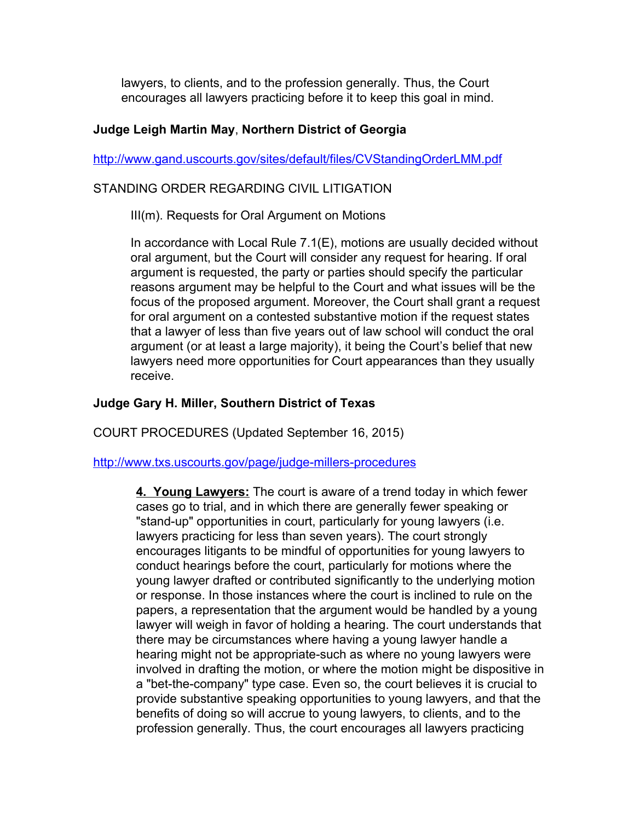lawyers, to clients, and to the profession generally. Thus, the Court encourages all lawyers practicing before it to keep this goal in mind.

## **Judge Leigh Martin May**, **Northern District of Georgia**

<http://www.gand.uscourts.gov/sites/default/files/CVStandingOrderLMM.pdf>

# STANDING ORDER REGARDING CIVIL LITIGATION

III(m). Requests for Oral Argument on Motions

In accordance with Local Rule 7.1(E), motions are usually decided without oral argument, but the Court will consider any request for hearing. If oral argument is requested, the party or parties should specify the particular reasons argument may be helpful to the Court and what issues will be the focus of the proposed argument. Moreover, the Court shall grant a request for oral argument on a contested substantive motion if the request states that a lawyer of less than five years out of law school will conduct the oral argument (or at least a large majority), it being the Court's belief that new lawyers need more opportunities for Court appearances than they usually receive.

# **Judge Gary H. Miller, Southern District of Texas**

COURT PROCEDURES (Updated September 16, 2015)

<http://www.txs.uscourts.gov/page/judge-millers-procedures>

**4. Young Lawyers:** The court is aware of a trend today in which fewer cases go to trial, and in which there are generally fewer speaking or "stand-up" opportunities in court, particularly for young lawyers (i.e. lawyers practicing for less than seven years). The court strongly encourages litigants to be mindful of opportunities for young lawyers to conduct hearings before the court, particularly for motions where the young lawyer drafted or contributed significantly to the underlying motion or response. In those instances where the court is inclined to rule on the papers, a representation that the argument would be handled by a young lawyer will weigh in favor of holding a hearing. The court understands that there may be circumstances where having a young lawyer handle a hearing might not be appropriate-such as where no young lawyers were involved in drafting the motion, or where the motion might be dispositive in a "bet-the-company" type case. Even so, the court believes it is crucial to provide substantive speaking opportunities to young lawyers, and that the benefits of doing so will accrue to young lawyers, to clients, and to the profession generally. Thus, the court encourages all lawyers practicing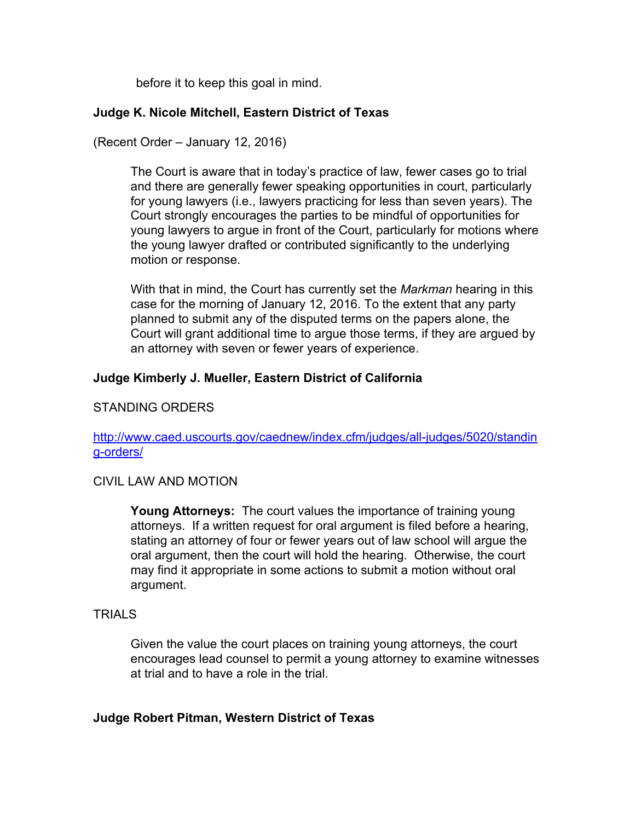before it to keep this goal in mind.

## **Judge K. Nicole Mitchell, Eastern District of Texas**

(Recent Order – January 12, 2016)

The Court is aware that in today's practice of law, fewer cases go to trial and there are generally fewer speaking opportunities in court, particularly for young lawyers (i.e., lawyers practicing for less than seven years). The Court strongly encourages the parties to be mindful of opportunities for young lawyers to argue in front of the Court, particularly for motions where the young lawyer drafted or contributed significantly to the underlying motion or response.

With that in mind, the Court has currently set the *Markman* hearing in this case for the morning of January 12, 2016. To the extent that any party planned to submit any of the disputed terms on the papers alone, the Court will grant additional time to argue those terms, if they are argued by an attorney with seven or fewer years of experience.

# **Judge Kimberly J. Mueller, Eastern District of California**

# STANDING ORDERS

[http://www.caed.uscourts.gov/caednew/index.cfm/judges/all-judges/5020/standin](http://www.caed.uscourts.gov/caednew/index.cfm/judges/all-judges/5020/standing-orders/) [g-orders/](http://www.caed.uscourts.gov/caednew/index.cfm/judges/all-judges/5020/standing-orders/)

## CIVIL LAW AND MOTION

**Young Attorneys:** The court values the importance of training young attorneys. If a written request for oral argument is filed before a hearing, stating an attorney of four or fewer years out of law school will argue the oral argument, then the court will hold the hearing. Otherwise, the court may find it appropriate in some actions to submit a motion without oral argument.

#### TRIALS

Given the value the court places on training young attorneys, the court encourages lead counsel to permit a young attorney to examine witnesses at trial and to have a role in the trial.

## **Judge Robert Pitman, Western District of Texas**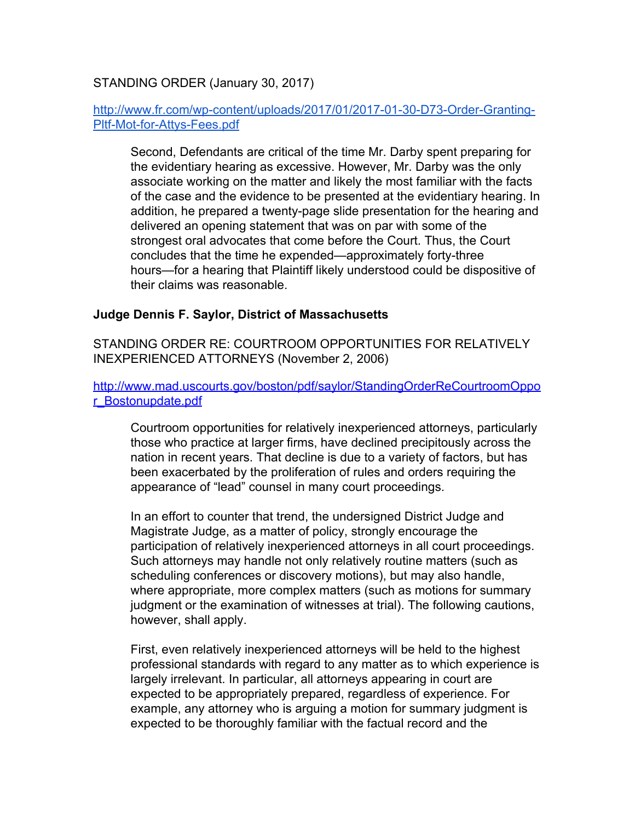# STANDING ORDER (January 30, 2017)

# [http://www.fr.com/wp-content/uploads/2017/01/2017-01-30-D73-Order-Granting-](http://www.fr.com/wp-content/uploads/2017/01/2017-01-30-D73-Order-Granting-Pltf-Mot-for-Attys-Fees.pdf)[Pltf-Mot-for-Attys-Fees.pdf](http://www.fr.com/wp-content/uploads/2017/01/2017-01-30-D73-Order-Granting-Pltf-Mot-for-Attys-Fees.pdf)

Second, Defendants are critical of the time Mr. Darby spent preparing for the evidentiary hearing as excessive. However, Mr. Darby was the only associate working on the matter and likely the most familiar with the facts of the case and the evidence to be presented at the evidentiary hearing. In addition, he prepared a twenty-page slide presentation for the hearing and delivered an opening statement that was on par with some of the strongest oral advocates that come before the Court. Thus, the Court concludes that the time he expended—approximately forty-three hours—for a hearing that Plaintiff likely understood could be dispositive of their claims was reasonable.

### **Judge Dennis F. Saylor, District of Massachusetts**

STANDING ORDER RE: COURTROOM OPPORTUNITIES FOR RELATIVELY INEXPERIENCED ATTORNEYS (November 2, 2006)

[http://www.mad.uscourts.gov/boston/pdf/saylor/StandingOrderReCourtroomOppo](http://www.mad.uscourts.gov/boston/pdf/saylor/StandingOrderReCourtroomOppor_Bostonupdate.pdf) [r\\_Bostonupdate.pdf](http://www.mad.uscourts.gov/boston/pdf/saylor/StandingOrderReCourtroomOppor_Bostonupdate.pdf)

Courtroom opportunities for relatively inexperienced attorneys, particularly those who practice at larger firms, have declined precipitously across the nation in recent years. That decline is due to a variety of factors, but has been exacerbated by the proliferation of rules and orders requiring the appearance of "lead" counsel in many court proceedings.

In an effort to counter that trend, the undersigned District Judge and Magistrate Judge, as a matter of policy, strongly encourage the participation of relatively inexperienced attorneys in all court proceedings. Such attorneys may handle not only relatively routine matters (such as scheduling conferences or discovery motions), but may also handle, where appropriate, more complex matters (such as motions for summary judgment or the examination of witnesses at trial). The following cautions, however, shall apply.

First, even relatively inexperienced attorneys will be held to the highest professional standards with regard to any matter as to which experience is largely irrelevant. In particular, all attorneys appearing in court are expected to be appropriately prepared, regardless of experience. For example, any attorney who is arguing a motion for summary judgment is expected to be thoroughly familiar with the factual record and the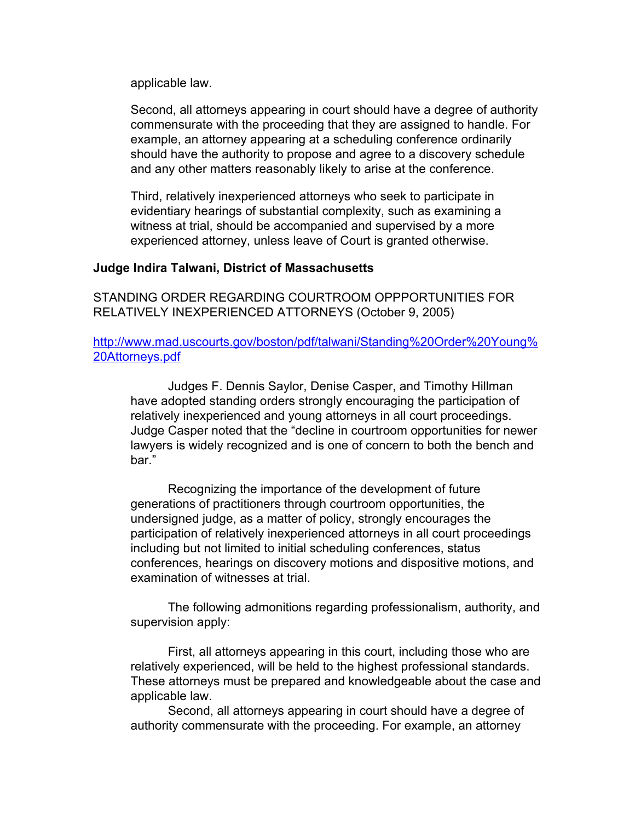applicable law.

Second, all attorneys appearing in court should have a degree of authority commensurate with the proceeding that they are assigned to handle. For example, an attorney appearing at a scheduling conference ordinarily should have the authority to propose and agree to a discovery schedule and any other matters reasonably likely to arise at the conference.

Third, relatively inexperienced attorneys who seek to participate in evidentiary hearings of substantial complexity, such as examining a witness at trial, should be accompanied and supervised by a more experienced attorney, unless leave of Court is granted otherwise.

### **Judge Indira Talwani, District of Massachusetts**

STANDING ORDER REGARDING COURTROOM OPPPORTUNITIES FOR RELATIVELY INEXPERIENCED ATTORNEYS (October 9, 2005)

[http://www.mad.uscourts.gov/boston/pdf/talwani/Standing%20Order%20Young%](http://www.mad.uscourts.gov/boston/pdf/talwani/Standing%20Order%20Young%20Attorneys.pdf) [20Attorneys.pdf](http://www.mad.uscourts.gov/boston/pdf/talwani/Standing%20Order%20Young%20Attorneys.pdf)

Judges F. Dennis Saylor, Denise Casper, and Timothy Hillman have adopted standing orders strongly encouraging the participation of relatively inexperienced and young attorneys in all court proceedings. Judge Casper noted that the "decline in courtroom opportunities for newer lawyers is widely recognized and is one of concern to both the bench and bar."

Recognizing the importance of the development of future generations of practitioners through courtroom opportunities, the undersigned judge, as a matter of policy, strongly encourages the participation of relatively inexperienced attorneys in all court proceedings including but not limited to initial scheduling conferences, status conferences, hearings on discovery motions and dispositive motions, and examination of witnesses at trial.

The following admonitions regarding professionalism, authority, and supervision apply:

First, all attorneys appearing in this court, including those who are relatively experienced, will be held to the highest professional standards. These attorneys must be prepared and knowledgeable about the case and applicable law.

Second, all attorneys appearing in court should have a degree of authority commensurate with the proceeding. For example, an attorney